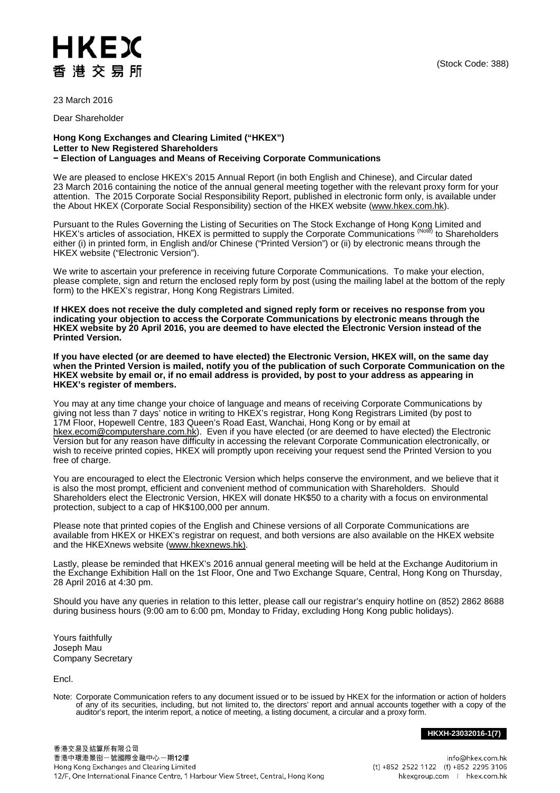23 March 2016

Dear Shareholder

HKEX

香港交易所

## **Hong Kong Exchanges and Clearing Limited ("HKEX") Letter to New Registered Shareholders − Election of Languages and Means of Receiving Corporate Communications**

We are pleased to enclose HKEX's 2015 Annual Report (in both English and Chinese), and Circular dated 23 March 2016 containing the notice of the annual general meeting together with the relevant proxy form for your attention. The 2015 Corporate Social Responsibility Report, published in electronic form only, is available under the About HKEX (Corporate Social Responsibility) section of the HKEX website [\(www.hkex.com.hk\)](http://www.hkex.com.hk/).

Pursuant to the Rules Governing the Listing of Securities on The Stock Exchange of Hong Kong Limited and HKEX's articles of association, HKEX is permitted to supply the Corporate Communications <sup>(Notē)</sup> to Shareholders either (i) in printed form, in English and/or Chinese ("Printed Version") or (ii) by electronic means through the HKEX website ("Electronic Version").

We write to ascertain your preference in receiving future Corporate Communications. To make your election, please complete, sign and return the enclosed reply form by post (using the mailing label at the bottom of the reply form) to the HKEX's registrar, Hong Kong Registrars Limited.

**If HKEX does not receive the duly completed and signed reply form or receives no response from you indicating your objection to access the Corporate Communications by electronic means through the HKEX website by 20 April 2016, you are deemed to have elected the Electronic Version instead of the Printed Version.** 

**If you have elected (or are deemed to have elected) the Electronic Version, HKEX will, on the same day**  when the Printed Version is mailed, notify you of the publication of such Corporate Communication on the **HKEX website by email or, if no email address is provided, by post to your address as appearing in HKEX's register of members.**

You may at any time change your choice of language and means of receiving Corporate Communications by giving not less than 7 days' notice in writing to HKEX's registrar, Hong Kong Registrars Limited (by post to 17M Floor, Hopewell Centre, 183 Queen's Road East, Wanchai, Hong Kong or by email at [hkex.ecom@computershare.com.hk\)](mailto:hkex.ecom@computershare.com.hk). Even if you have elected (or are deemed to have elected) the Electronic Version but for any reason have difficulty in accessing the relevant Corporate Communication electronically, or wish to receive printed copies, HKEX will promptly upon receiving your request send the Printed Version to you free of charge.

You are encouraged to elect the Electronic Version which helps conserve the environment, and we believe that it is also the most prompt, efficient and convenient method of communication with Shareholders. Should Shareholders elect the Electronic Version, HKEX will donate HK\$50 to a charity with a focus on environmental protection, subject to a cap of HK\$100,000 per annum.

Please note that printed copies of the English and Chinese versions of all Corporate Communications are available from HKEX or HKEX's registrar on request, and both versions are also available on the HKEX website and the HKEXnews website [\(www.hkexnews.hk\)](http://www.hkexnews.hk/).

Lastly, please be reminded that HKEX's 2016 annual general meeting will be held at the Exchange Auditorium in the Exchange Exhibition Hall on the 1st Floor, One and Two Exchange Square, Central, Hong Kong on Thursday, 28 April 2016 at 4:30 pm.

Should you have any queries in relation to this letter, please call our registrar's enquiry hotline on (852) 2862 8688 during business hours (9:00 am to 6:00 pm, Monday to Friday, excluding Hong Kong public holidays).

Yours faithfully Joseph Mau Company Secretary

Encl.

Note: Corporate Communication refers to any document issued or to be issued by HKEX for the information or action of holders of any of its securities, including, but not limited to, the directors' report and annual accounts together with a copy of the auditor's report, the interim report, a notice of meeting, a listing document, a circular and a

## **HKXH-23032016-1(7)**